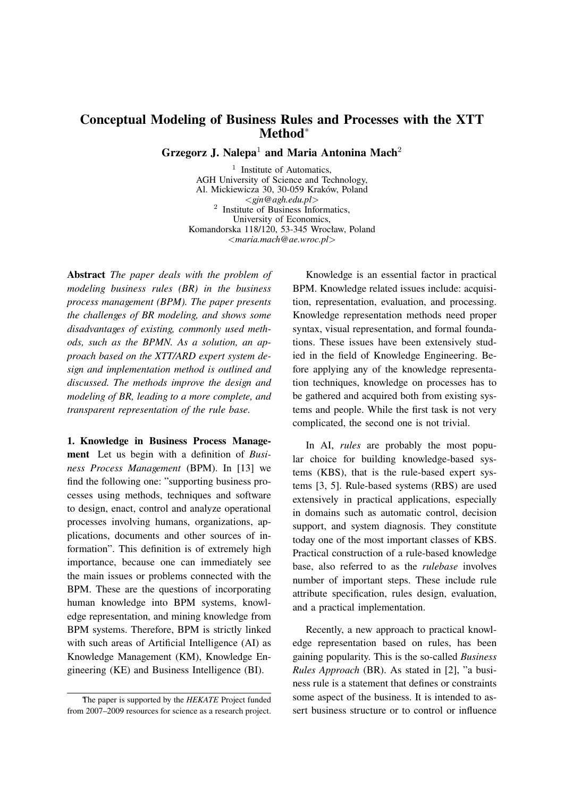## **Conceptual Modeling of Business Rules and Processes with the XTT Method***<sup>∗</sup>*

**Grzegorz J. Nalepa**<sup>1</sup> **and Maria Antonina Mach**<sup>2</sup>

<sup>1</sup> Institute of Automatics, AGH University of Science and Technology, Al. Mickiewicza 30, 30-059 Kraków, Poland *<gjn@agh.edu.pl>* 2 Institute of Business Informatics, University of Economics, Komandorska 118/120, 53-345 Wrocław, Poland *<maria.mach@ae.wroc.pl>*

**Abstract** *The paper deals with the problem of modeling business rules (BR) in the business process management (BPM). The paper presents the challenges of BR modeling, and shows some disadvantages of existing, commonly used methods, such as the BPMN. As a solution, an approach based on the XTT/ARD expert system design and implementation method is outlined and discussed. The methods improve the design and modeling of BR, leading to a more complete, and transparent representation of the rule base.*

**1. Knowledge in Business Process Management** Let us begin with a definition of *Business Process Management* (BPM). In [13] we find the following one: "supporting business processes using methods, techniques and software to design, enact, control and analyze operational processes involving humans, organizations, applications, documents and other sources of information". This definition is of extremely high importance, because one can immediately see the main issues or problems connected with the BPM. These are the questions of incorporating human knowledge into BPM systems, knowledge representation, and mining knowledge from BPM systems. Therefore, BPM is strictly linked with such areas of Artificial Intelligence (AI) as Knowledge Management (KM), Knowledge Engineering (KE) and Business Intelligence (BI).

Knowledge is an essential factor in practical BPM. Knowledge related issues include: acquisition, representation, evaluation, and processing. Knowledge representation methods need proper syntax, visual representation, and formal foundations. These issues have been extensively studied in the field of Knowledge Engineering. Before applying any of the knowledge representation techniques, knowledge on processes has to be gathered and acquired both from existing systems and people. While the first task is not very complicated, the second one is not trivial.

In AI, *rules* are probably the most popular choice for building knowledge-based systems (KBS), that is the rule-based expert systems [3, 5]. Rule-based systems (RBS) are used extensively in practical applications, especially in domains such as automatic control, decision support, and system diagnosis. They constitute today one of the most important classes of KBS. Practical construction of a rule-based knowledge base, also referred to as the *rulebase* involves number of important steps. These include rule attribute specification, rules design, evaluation, and a practical implementation.

Recently, a new approach to practical knowledge representation based on rules, has been gaining popularity. This is the so-called *Business Rules Approach* (BR). As stated in [2], "a business rule is a statement that defines or constraints some aspect of the business. It is intended to assert business structure or to control or influence

*<sup>∗</sup>*The paper is supported by the *HEKATE* Project funded from 2007–2009 resources for science as a research project.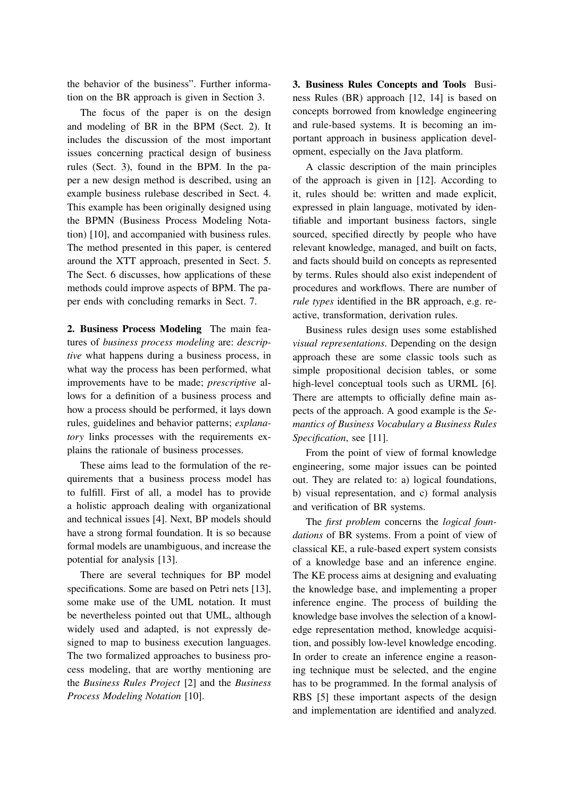the behavior of the business". Further information on the BR approach is given in Section 3.

The focus of the paper is on the design and modeling of BR in the BPM (Sect. 2). It includes the discussion of the most important issues concerning practical design of business rules (Sect. 3), found in the BPM. In the paper a new design method is described, using an example business rulebase described in Sect. 4. This example has been originally designed using the BPMN (Business Process Modeling Notation) [10], and accompanied with business rules. The method presented in this paper, is centered around the XTT approach, presented in Sect. 5. The Sect. 6 discusses, how applications of these methods could improve aspects of BPM. The paper ends with concluding remarks in Sect. 7.

**2. Business Process Modeling** The main features of *business process modeling* are: *descriptive* what happens during a business process, in what way the process has been performed, what improvements have to be made; *prescriptive* allows for a definition of a business process and how a process should be performed, it lays down rules, guidelines and behavior patterns; *explanatory* links processes with the requirements explains the rationale of business processes.

These aims lead to the formulation of the requirements that a business process model has to fulfill. First of all, a model has to provide a holistic approach dealing with organizational and technical issues [4]. Next, BP models should have a strong formal foundation. It is so because formal models are unambiguous, and increase the potential for analysis [13].

There are several techniques for BP model specifications. Some are based on Petri nets [13], some make use of the UML notation. It must be nevertheless pointed out that UML, although widely used and adapted, is not expressly designed to map to business execution languages. The two formalized approaches to business process modeling, that are worthy mentioning are the *Business Rules Project* [2] and the *Business Process Modeling Notation* [10].

**3. Business Rules Concepts and Tools** Business Rules (BR) approach [12, 14] is based on concepts borrowed from knowledge engineering and rule-based systems. It is becoming an important approach in business application development, especially on the Java platform.

A classic description of the main principles of the approach is given in [12]. According to it, rules should be: written and made explicit, expressed in plain language, motivated by identifiable and important business factors, single sourced, specified directly by people who have relevant knowledge, managed, and built on facts, and facts should build on concepts as represented by terms. Rules should also exist independent of procedures and workflows. There are number of *rule types* identified in the BR approach, e.g. reactive, transformation, derivation rules.

Business rules design uses some established *visual representations*. Depending on the design approach these are some classic tools such as simple propositional decision tables, or some high-level conceptual tools such as URML [6]. There are attempts to officially define main aspects of the approach. A good example is the *Semantics of Business Vocabulary a Business Rules Specification*, see [11].

From the point of view of formal knowledge engineering, some major issues can be pointed out. They are related to: a) logical foundations, b) visual representation, and c) formal analysis and verification of BR systems.

The *first problem* concerns the *logical foundations* of BR systems. From a point of view of classical KE, a rule-based expert system consists of a knowledge base and an inference engine. The KE process aims at designing and evaluating the knowledge base, and implementing a proper inference engine. The process of building the knowledge base involves the selection of a knowledge representation method, knowledge acquisition, and possibly low-level knowledge encoding. In order to create an inference engine a reasoning technique must be selected, and the engine has to be programmed. In the formal analysis of RBS [5] these important aspects of the design and implementation are identified and analyzed.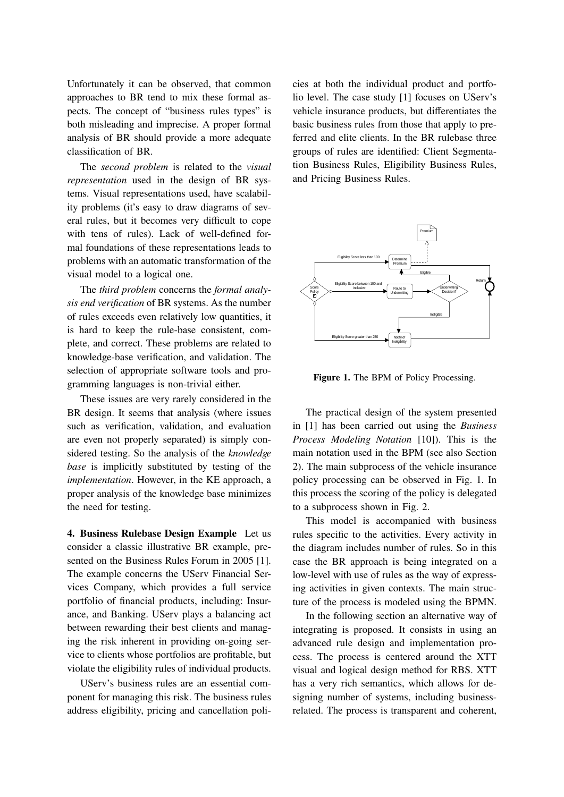Unfortunately it can be observed, that common approaches to BR tend to mix these formal aspects. The concept of "business rules types" is both misleading and imprecise. A proper formal analysis of BR should provide a more adequate classification of BR.

The *second problem* is related to the *visual representation* used in the design of BR systems. Visual representations used, have scalability problems (it's easy to draw diagrams of several rules, but it becomes very difficult to cope with tens of rules). Lack of well-defined formal foundations of these representations leads to problems with an automatic transformation of the visual model to a logical one.

The *third problem* concerns the *formal analysis end verification* of BR systems. As the number of rules exceeds even relatively low quantities, it is hard to keep the rule-base consistent, complete, and correct. These problems are related to knowledge-base verification, and validation. The selection of appropriate software tools and programming languages is non-trivial either.

These issues are very rarely considered in the BR design. It seems that analysis (where issues such as verification, validation, and evaluation are even not properly separated) is simply considered testing. So the analysis of the *knowledge base* is implicitly substituted by testing of the *implementation*. However, in the KE approach, a proper analysis of the knowledge base minimizes the need for testing.

**4. Business Rulebase Design Example** Let us consider a classic illustrative BR example, presented on the Business Rules Forum in 2005 [1]. The example concerns the UServ Financial Services Company, which provides a full service portfolio of financial products, including: Insurance, and Banking. UServ plays a balancing act between rewarding their best clients and managing the risk inherent in providing on-going service to clients whose portfolios are profitable, but violate the eligibility rules of individual products.

UServ's business rules are an essential component for managing this risk. The business rules address eligibility, pricing and cancellation policies at both the individual product and portfolio level. The case study [1] focuses on UServ's vehicle insurance products, but differentiates the basic business rules from those that apply to preferred and elite clients. In the BR rulebase three groups of rules are identified: Client Segmentation Business Rules, Eligibility Business Rules, and Pricing Business Rules.



Figure 1. The BPM of Policy Processing.

The practical design of the system presented in [1] has been carried out using the *Business Process Modeling Notation* [10]). This is the main notation used in the BPM (see also Section 2). The main subprocess of the vehicle insurance policy processing can be observed in Fig. 1. In this process the scoring of the policy is delegated to a subprocess shown in Fig. 2.

This model is accompanied with business rules specific to the activities. Every activity in the diagram includes number of rules. So in this case the BR approach is being integrated on a low-level with use of rules as the way of expressing activities in given contexts. The main structure of the process is modeled using the BPMN.

In the following section an alternative way of integrating is proposed. It consists in using an advanced rule design and implementation process. The process is centered around the XTT visual and logical design method for RBS. XTT has a very rich semantics, which allows for designing number of systems, including businessrelated. The process is transparent and coherent,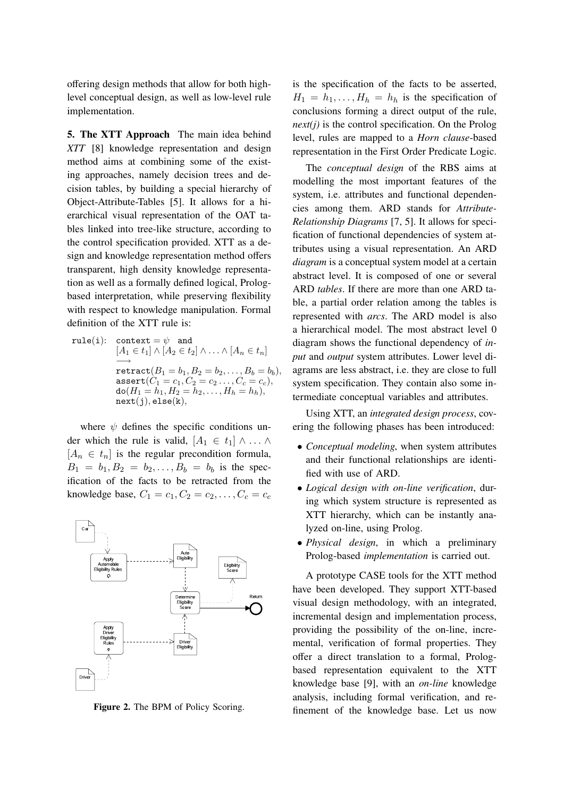offering design methods that allow for both highlevel conceptual design, as well as low-level rule implementation.

**5. The XTT Approach** The main idea behind *XTT* [8] knowledge representation and design method aims at combining some of the existing approaches, namely decision trees and decision tables, by building a special hierarchy of Object-Attribute-Tables [5]. It allows for a hierarchical visual representation of the OAT tables linked into tree-like structure, according to the control specification provided. XTT as a design and knowledge representation method offers transparent, high density knowledge representation as well as a formally defined logical, Prologbased interpretation, while preserving flexibility with respect to knowledge manipulation. Formal definition of the XTT rule is:

rule(i): context =  $\psi$  and  $[A_1 \in t_1] \wedge [A_2 \in t_2] \wedge \ldots \wedge [A_n \in t_n]$ *−→*  $\texttt{retract}(B_1 = b_1, B_2 = b_2, \ldots, B_b = b_b),$  $\text{assert}(C_1 = c_1, C_2 = c_2 \dots, C_c = c_c),$  $d\sigma(H_1 = h_1, H_2 = h_2, \ldots, H_h = h_h),$ next(j)*,* else(k)*,*

where  $\psi$  defines the specific conditions under which the rule is valid,  $[A_1 \in t_1] \wedge \ldots \wedge$  $[A_n \in t_n]$  is the regular precondition formula,  $B_1 = b_1, B_2 = b_2, \ldots, B_b = b_b$  is the specification of the facts to be retracted from the knowledge base,  $C_1 = c_1, C_2 = c_2, \ldots, C_c = c_c$ 



**Figure 2.** The BPM of Policy Scoring.

is the specification of the facts to be asserted,  $H_1 = h_1, \ldots, H_h = h_h$  is the specification of conclusions forming a direct output of the rule, *next(j)* is the control specification. On the Prolog level, rules are mapped to a *Horn clause*-based representation in the First Order Predicate Logic.

The *conceptual design* of the RBS aims at modelling the most important features of the system, i.e. attributes and functional dependencies among them. ARD stands for *Attribute-Relationship Diagrams* [7, 5]. It allows for specification of functional dependencies of system attributes using a visual representation. An ARD *diagram* is a conceptual system model at a certain abstract level. It is composed of one or several ARD *tables*. If there are more than one ARD table, a partial order relation among the tables is represented with *arcs*. The ARD model is also a hierarchical model. The most abstract level 0 diagram shows the functional dependency of *input* and *output* system attributes. Lower level diagrams are less abstract, i.e. they are close to full system specification. They contain also some intermediate conceptual variables and attributes.

Using XTT, an *integrated design process*, covering the following phases has been introduced:

- *Conceptual modeling*, when system attributes and their functional relationships are identified with use of ARD.
- *Logical design with on-line verification*, during which system structure is represented as XTT hierarchy, which can be instantly analyzed on-line, using Prolog.
- *Physical design*, in which a preliminary Prolog-based *implementation* is carried out.

A prototype CASE tools for the XTT method have been developed. They support XTT-based visual design methodology, with an integrated, incremental design and implementation process, providing the possibility of the on-line, incremental, verification of formal properties. They offer a direct translation to a formal, Prologbased representation equivalent to the XTT knowledge base [9], with an *on-line* knowledge analysis, including formal verification, and refinement of the knowledge base. Let us now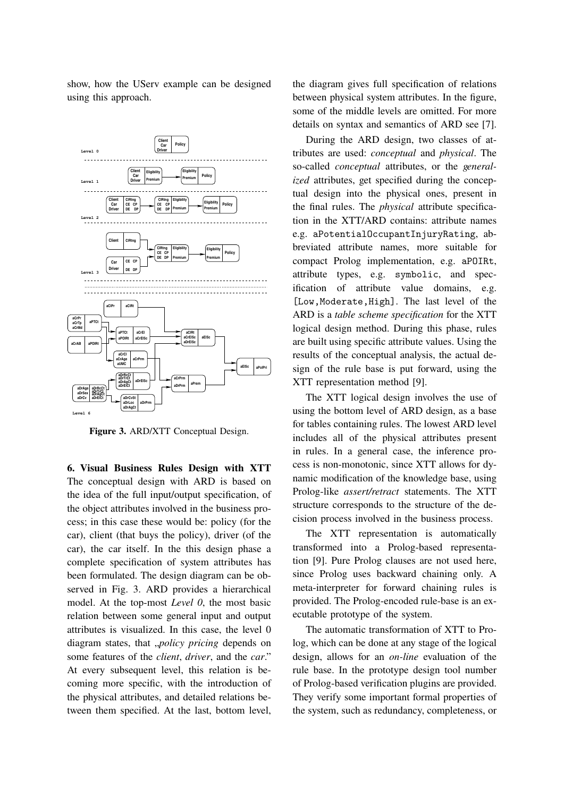show, how the UServ example can be designed using this approach.



**Figure 3.** ARD/XTT Conceptual Design.

**6. Visual Business Rules Design with XTT** The conceptual design with ARD is based on the idea of the full input/output specification, of the object attributes involved in the business process; in this case these would be: policy (for the car), client (that buys the policy), driver (of the car), the car itself. In the this design phase a complete specification of system attributes has been formulated. The design diagram can be observed in Fig. 3. ARD provides a hierarchical model. At the top-most *Level 0*, the most basic relation between some general input and output attributes is visualized. In this case, the level 0 diagram states, that *"policy pricing* depends on some features of the *client*, *driver*, and the *car*." At every subsequent level, this relation is becoming more specific, with the introduction of the physical attributes, and detailed relations between them specified. At the last, bottom level, the diagram gives full specification of relations between physical system attributes. In the figure, some of the middle levels are omitted. For more details on syntax and semantics of ARD see [7].

During the ARD design, two classes of attributes are used: *conceptual* and *physical*. The so-called *conceptual* attributes, or the *generalized* attributes, get specified during the conceptual design into the physical ones, present in the final rules. The *physical* attribute specification in the XTT/ARD contains: attribute names e.g. aPotentialOccupantInjuryRating, abbreviated attribute names, more suitable for compact Prolog implementation, e.g. aPOIRt, attribute types, e.g. symbolic, and specification of attribute value domains, e.g. [Low,Moderate,High]. The last level of the ARD is a *table scheme specification* for the XTT logical design method. During this phase, rules are built using specific attribute values. Using the results of the conceptual analysis, the actual design of the rule base is put forward, using the XTT representation method [9].

The XTT logical design involves the use of using the bottom level of ARD design, as a base for tables containing rules. The lowest ARD level includes all of the physical attributes present in rules. In a general case, the inference process is non-monotonic, since XTT allows for dynamic modification of the knowledge base, using Prolog-like *assert/retract* statements. The XTT structure corresponds to the structure of the decision process involved in the business process.

The XTT representation is automatically transformed into a Prolog-based representation [9]. Pure Prolog clauses are not used here, since Prolog uses backward chaining only. A meta-interpreter for forward chaining rules is provided. The Prolog-encoded rule-base is an executable prototype of the system.

The automatic transformation of XTT to Prolog, which can be done at any stage of the logical design, allows for an *on-line* evaluation of the rule base. In the prototype design tool number of Prolog-based verification plugins are provided. They verify some important formal properties of the system, such as redundancy, completeness, or